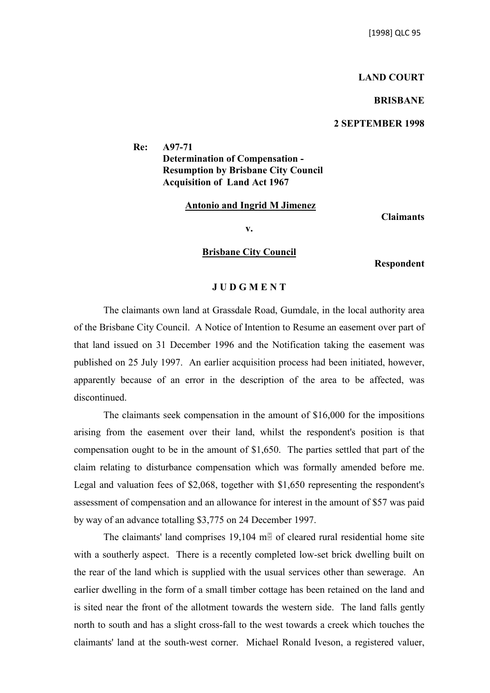## **LAND COURT**

### **BRISBANE**

## **2 SEPTEMBER 1998**

**Re: A97-71 Determination of Compensation - Resumption by Brisbane City Council Acquisition of Land Act 1967**

#### **Antonio and Ingrid M Jimenez**

**Claimants**

**v.**

# **Brisbane City Council**

**Respondent**

#### **J U D G M E N T**

The claimants own land at Grassdale Road, Gumdale, in the local authority area of the Brisbane City Council. A Notice of Intention to Resume an easement over part of that land issued on 31 December 1996 and the Notification taking the easement was published on 25 July 1997. An earlier acquisition process had been initiated, however, apparently because of an error in the description of the area to be affected, was discontinued.

The claimants seek compensation in the amount of \$16,000 for the impositions arising from the easement over their land, whilst the respondent's position is that compensation ought to be in the amount of \$1,650. The parties settled that part of the claim relating to disturbance compensation which was formally amended before me. Legal and valuation fees of \$2,068, together with \$1,650 representing the respondent's assessment of compensation and an allowance for interest in the amount of \$57 was paid by way of an advance totalling \$3,775 on 24 December 1997.

The claimants' land comprises 19,104 m $\overline{B}$  of cleared rural residential home site with a southerly aspect. There is a recently completed low-set brick dwelling built on the rear of the land which is supplied with the usual services other than sewerage. An earlier dwelling in the form of a small timber cottage has been retained on the land and is sited near the front of the allotment towards the western side. The land falls gently north to south and has a slight cross-fall to the west towards a creek which touches the claimants' land at the south-west corner. Michael Ronald Iveson, a registered valuer,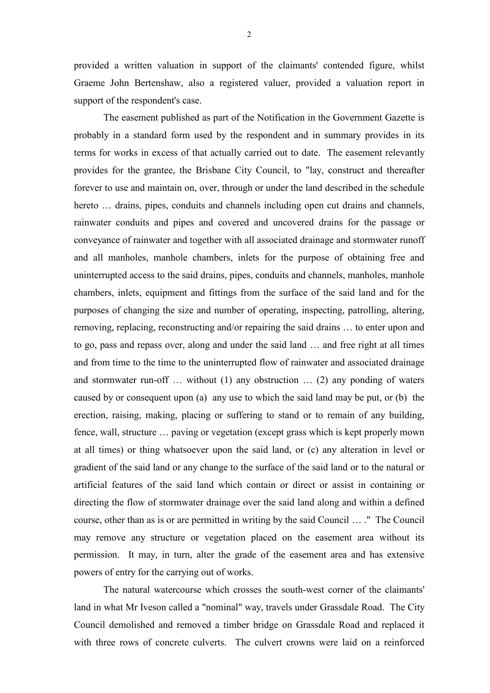provided a written valuation in support of the claimants' contended figure, whilst Graeme John Bertenshaw, also a registered valuer, provided a valuation report in support of the respondent's case.

The easement published as part of the Notification in the Government Gazette is probably in a standard form used by the respondent and in summary provides in its terms for works in excess of that actually carried out to date. The easement relevantly provides for the grantee, the Brisbane City Council, to "lay, construct and thereafter forever to use and maintain on, over, through or under the land described in the schedule hereto ... drains, pipes, conduits and channels including open cut drains and channels, rainwater conduits and pipes and covered and uncovered drains for the passage or conveyance of rainwater and together with all associated drainage and stormwater runoff and all manholes, manhole chambers, inlets for the purpose of obtaining free and uninterrupted access to the said drains, pipes, conduits and channels, manholes, manhole chambers, inlets, equipment and fittings from the surface of the said land and for the purposes of changing the size and number of operating, inspecting, patrolling, altering, removing, replacing, reconstructing and/or repairing the said drains … to enter upon and to go, pass and repass over, along and under the said land … and free right at all times and from time to the time to the uninterrupted flow of rainwater and associated drainage and stormwater run-off … without (1) any obstruction … (2) any ponding of waters caused by or consequent upon (a) any use to which the said land may be put, or (b) the erection, raising, making, placing or suffering to stand or to remain of any building, fence, wall, structure … paving or vegetation (except grass which is kept properly mown at all times) or thing whatsoever upon the said land, or (c) any alteration in level or gradient of the said land or any change to the surface of the said land or to the natural or artificial features of the said land which contain or direct or assist in containing or directing the flow of stormwater drainage over the said land along and within a defined course, other than as is or are permitted in writing by the said Council … ." The Council may remove any structure or vegetation placed on the easement area without its permission. It may, in turn, alter the grade of the easement area and has extensive powers of entry for the carrying out of works.

The natural watercourse which crosses the south-west corner of the claimants' land in what Mr Iveson called a "nominal" way, travels under Grassdale Road. The City Council demolished and removed a timber bridge on Grassdale Road and replaced it with three rows of concrete culverts. The culvert crowns were laid on a reinforced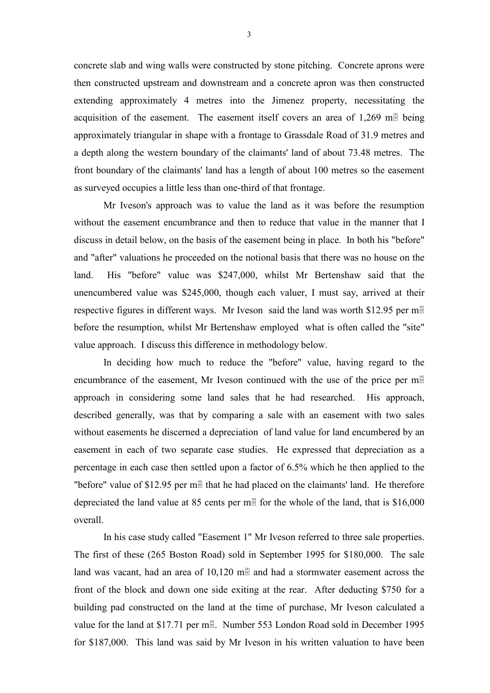concrete slab and wing walls were constructed by stone pitching. Concrete aprons were then constructed upstream and downstream and a concrete apron was then constructed extending approximately 4 metres into the Jimenez property, necessitating the acquisition of the easement. The easement itself covers an area of  $1,269$  m. approximately triangular in shape with a frontage to Grassdale Road of 31.9 metres and a depth along the western boundary of the claimants' land of about 73.48 metres. The front boundary of the claimants' land has a length of about 100 metres so the easement as surveyed occupies a little less than one-third of that frontage.

Mr Iveson's approach was to value the land as it was before the resumption without the easement encumbrance and then to reduce that value in the manner that I discuss in detail below, on the basis of the easement being in place. In both his "before" and "after" valuations he proceeded on the notional basis that there was no house on the land. His "before" value was \$247,000, whilst Mr Bertenshaw said that the unencumbered value was \$245,000, though each valuer, I must say, arrived at their respective figures in different ways. Mr Iveson said the land was worth \$12.95 per m before the resumption, whilst Mr Bertenshaw employed what is often called the "site" value approach. I discuss this difference in methodology below.

In deciding how much to reduce the "before" value, having regard to the encumbrance of the easement, Mr Iveson continued with the use of the price per  $m_{\mathbb{F}}$ approach in considering some land sales that he had researched. His approach, described generally, was that by comparing a sale with an easement with two sales without easements he discerned a depreciation of land value for land encumbered by an easement in each of two separate case studies. He expressed that depreciation as a percentage in each case then settled upon a factor of 6.5% which he then applied to the "before" value of \$12.95 per m<sub>il</sub> that he had placed on the claimants' land. He therefore depreciated the land value at 85 cents per m $\overline{B}$  for the whole of the land, that is \$16,000 overall.

In his case study called "Easement 1" Mr Iveson referred to three sale properties. The first of these (265 Boston Road) sold in September 1995 for \$180,000. The sale land was vacant, had an area of  $10,120$  m $\overline{\phantom{1}}$  and had a stormwater easement across the front of the block and down one side exiting at the rear. After deducting \$750 for a building pad constructed on the land at the time of purchase, Mr Iveson calculated a value for the land at \$17.71 per m $\mathbb{B}$ . Number 553 London Road sold in December 1995 for \$187,000. This land was said by Mr Iveson in his written valuation to have been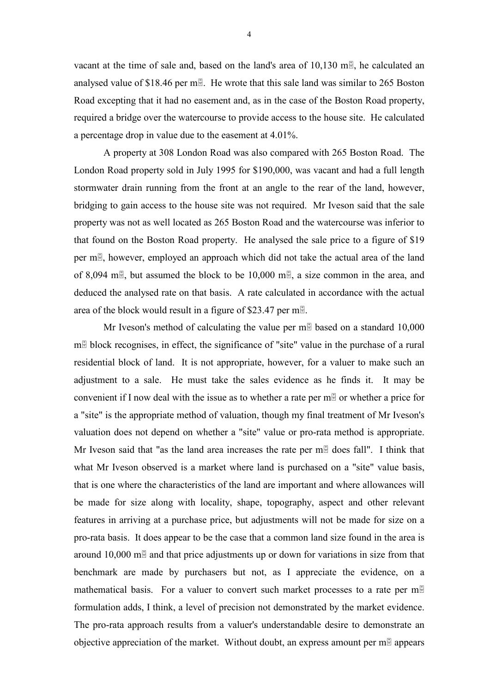vacant at the time of sale and, based on the land's area of  $10,130$  m., he calculated an analysed value of \$18.46 per m. He wrote that this sale land was similar to 265 Boston Road excepting that it had no easement and, as in the case of the Boston Road property, required a bridge over the watercourse to provide access to the house site. He calculated a percentage drop in value due to the easement at 4.01%.

A property at 308 London Road was also compared with 265 Boston Road. The London Road property sold in July 1995 for \$190,000, was vacant and had a full length stormwater drain running from the front at an angle to the rear of the land, however, bridging to gain access to the house site was not required. Mr Iveson said that the sale property was not as well located as 265 Boston Road and the watercourse was inferior to that found on the Boston Road property. He analysed the sale price to a figure of \$19 per m., however, employed an approach which did not take the actual area of the land of 8,094 m. but assumed the block to be 10,000 m. a size common in the area, and deduced the analysed rate on that basis. A rate calculated in accordance with the actual area of the block would result in a figure of \$23.47 per m.

Mr Iveson's method of calculating the value per m $\overline{B}$  based on a standard 10,000  $m<sup>th</sup>$  block recognises, in effect, the significance of "site" value in the purchase of a rural residential block of land. It is not appropriate, however, for a valuer to make such an adjustment to a sale. He must take the sales evidence as he finds it. It may be convenient if I now deal with the issue as to whether a rate per  $m\overline{B}$  or whether a price for a "site" is the appropriate method of valuation, though my final treatment of Mr Iveson's valuation does not depend on whether a "site" value or pro-rata method is appropriate. Mr Iveson said that "as the land area increases the rate per  $m\bar{d}$  does fall". I think that what Mr Iveson observed is a market where land is purchased on a "site" value basis, that is one where the characteristics of the land are important and where allowances will be made for size along with locality, shape, topography, aspect and other relevant features in arriving at a purchase price, but adjustments will not be made for size on a pro-rata basis. It does appear to be the case that a common land size found in the area is around 10,000 m $\overline{a}$  and that price adjustments up or down for variations in size from that benchmark are made by purchasers but not, as I appreciate the evidence, on a mathematical basis. For a valuer to convert such market processes to a rate per m formulation adds, I think, a level of precision not demonstrated by the market evidence. The pro-rata approach results from a valuer's understandable desire to demonstrate an objective appreciation of the market. Without doubt, an express amount per  $m\bar{B}$  appears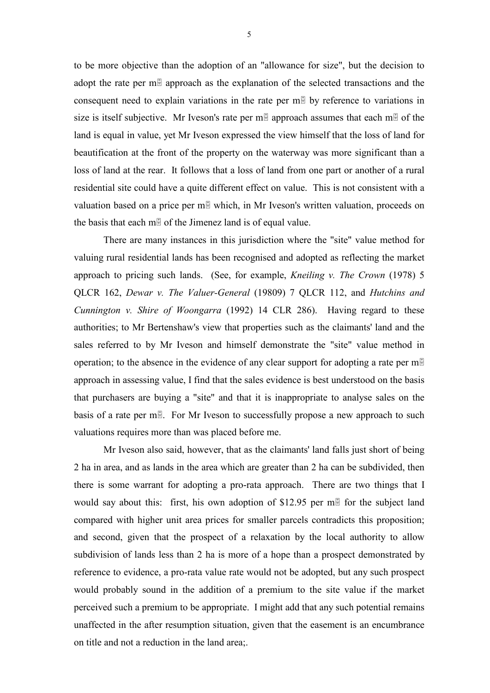to be more objective than the adoption of an "allowance for size", but the decision to adopt the rate per m $\frac{1}{2}$  approach as the explanation of the selected transactions and the consequent need to explain variations in the rate per  $m<sup>th</sup>$  by reference to variations in size is itself subjective. Mr Iveson's rate per m $\frac{m}{2}$  approach assumes that each m $\frac{m}{2}$  of the land is equal in value, yet Mr Iveson expressed the view himself that the loss of land for beautification at the front of the property on the waterway was more significant than a loss of land at the rear. It follows that a loss of land from one part or another of a rural residential site could have a quite different effect on value. This is not consistent with a valuation based on a price per  $m \mathbb{F}$  which, in Mr Iveson's written valuation, proceeds on the basis that each  $m\overline{B}$  of the Jimenez land is of equal value.

There are many instances in this jurisdiction where the "site" value method for valuing rural residential lands has been recognised and adopted as reflecting the market approach to pricing such lands. (See, for example, *Kneiling v. The Crown* (1978) 5 QLCR 162, *Dewar v. The Valuer-General* (19809) 7 QLCR 112, and *Hutchins and Cunnington v. Shire of Woongarra* (1992) 14 CLR 286). Having regard to these authorities; to Mr Bertenshaw's view that properties such as the claimants' land and the sales referred to by Mr Iveson and himself demonstrate the "site" value method in operation; to the absence in the evidence of any clear support for adopting a rate per m approach in assessing value, I find that the sales evidence is best understood on the basis that purchasers are buying a "site" and that it is inappropriate to analyse sales on the basis of a rate per m $\overline{B}$ . For Mr Iveson to successfully propose a new approach to such valuations requires more than was placed before me.

Mr Iveson also said, however, that as the claimants' land falls just short of being 2 ha in area, and as lands in the area which are greater than 2 ha can be subdivided, then there is some warrant for adopting a pro-rata approach. There are two things that I would say about this: first, his own adoption of \$12.95 per m $\frac{1}{2}$  for the subject land compared with higher unit area prices for smaller parcels contradicts this proposition; and second, given that the prospect of a relaxation by the local authority to allow subdivision of lands less than 2 ha is more of a hope than a prospect demonstrated by reference to evidence, a pro-rata value rate would not be adopted, but any such prospect would probably sound in the addition of a premium to the site value if the market perceived such a premium to be appropriate. I might add that any such potential remains unaffected in the after resumption situation, given that the easement is an encumbrance on title and not a reduction in the land area;.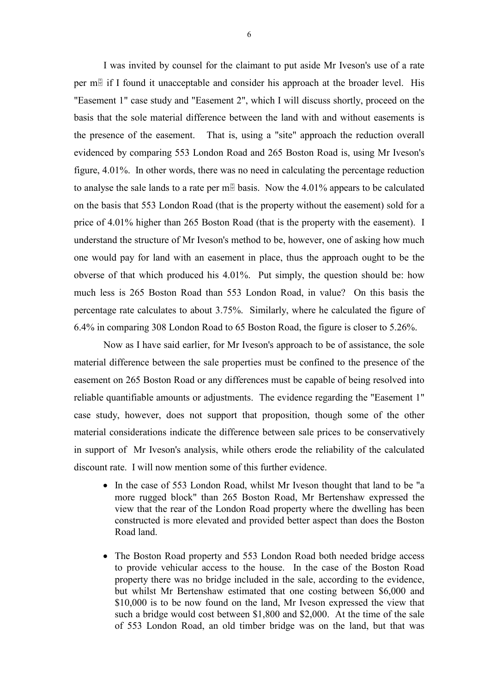I was invited by counsel for the claimant to put aside Mr Iveson's use of a rate per  $m\bar{d}$  if I found it unacceptable and consider his approach at the broader level. His "Easement 1" case study and "Easement 2", which I will discuss shortly, proceed on the basis that the sole material difference between the land with and without easements is the presence of the easement. That is, using a "site" approach the reduction overall evidenced by comparing 553 London Road and 265 Boston Road is, using Mr Iveson's figure, 4.01%. In other words, there was no need in calculating the percentage reduction to analyse the sale lands to a rate per m $\frac{m}{2}$  basis. Now the 4.01% appears to be calculated on the basis that 553 London Road (that is the property without the easement) sold for a price of 4.01% higher than 265 Boston Road (that is the property with the easement). I understand the structure of Mr Iveson's method to be, however, one of asking how much one would pay for land with an easement in place, thus the approach ought to be the obverse of that which produced his 4.01%. Put simply, the question should be: how much less is 265 Boston Road than 553 London Road, in value? On this basis the percentage rate calculates to about 3.75%. Similarly, where he calculated the figure of 6.4% in comparing 308 London Road to 65 Boston Road, the figure is closer to 5.26%.

Now as I have said earlier, for Mr Iveson's approach to be of assistance, the sole material difference between the sale properties must be confined to the presence of the easement on 265 Boston Road or any differences must be capable of being resolved into reliable quantifiable amounts or adjustments. The evidence regarding the "Easement 1" case study, however, does not support that proposition, though some of the other material considerations indicate the difference between sale prices to be conservatively in support of Mr Iveson's analysis, while others erode the reliability of the calculated discount rate. I will now mention some of this further evidence.

- In the case of 553 London Road, whilst Mr Iveson thought that land to be "a more rugged block" than 265 Boston Road, Mr Bertenshaw expressed the view that the rear of the London Road property where the dwelling has been constructed is more elevated and provided better aspect than does the Boston Road land.
- The Boston Road property and 553 London Road both needed bridge access to provide vehicular access to the house. In the case of the Boston Road property there was no bridge included in the sale, according to the evidence, but whilst Mr Bertenshaw estimated that one costing between \$6,000 and \$10,000 is to be now found on the land, Mr Iveson expressed the view that such a bridge would cost between \$1,800 and \$2,000. At the time of the sale of 553 London Road, an old timber bridge was on the land, but that was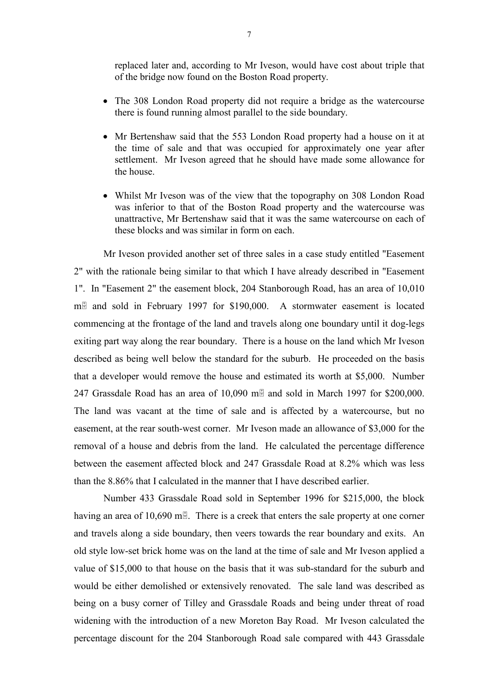replaced later and, according to Mr Iveson, would have cost about triple that of the bridge now found on the Boston Road property.

- The 308 London Road property did not require a bridge as the watercourse there is found running almost parallel to the side boundary.
- Mr Bertenshaw said that the 553 London Road property had a house on it at the time of sale and that was occupied for approximately one year after settlement. Mr Iveson agreed that he should have made some allowance for the house.
- Whilst Mr Iveson was of the view that the topography on 308 London Road was inferior to that of the Boston Road property and the watercourse was unattractive, Mr Bertenshaw said that it was the same watercourse on each of these blocks and was similar in form on each.

Mr Iveson provided another set of three sales in a case study entitled "Easement 2" with the rationale being similar to that which I have already described in "Easement 1". In "Easement 2" the easement block, 204 Stanborough Road, has an area of 10,010  $m\bar{m}$  and sold in February 1997 for \$190,000. A stormwater easement is located commencing at the frontage of the land and travels along one boundary until it dog-legs exiting part way along the rear boundary. There is a house on the land which Mr Iveson described as being well below the standard for the suburb. He proceeded on the basis that a developer would remove the house and estimated its worth at \$5,000. Number 247 Grassdale Road has an area of 10,090 m $\overline{a}$  and sold in March 1997 for \$200,000. The land was vacant at the time of sale and is affected by a watercourse, but no easement, at the rear south-west corner. Mr Iveson made an allowance of \$3,000 for the removal of a house and debris from the land. He calculated the percentage difference between the easement affected block and 247 Grassdale Road at 8.2% which was less than the 8.86% that I calculated in the manner that I have described earlier.

Number 433 Grassdale Road sold in September 1996 for \$215,000, the block having an area of 10,690 m $\overline{B}$ . There is a creek that enters the sale property at one corner and travels along a side boundary, then veers towards the rear boundary and exits. An old style low-set brick home was on the land at the time of sale and Mr Iveson applied a value of \$15,000 to that house on the basis that it was sub-standard for the suburb and would be either demolished or extensively renovated. The sale land was described as being on a busy corner of Tilley and Grassdale Roads and being under threat of road widening with the introduction of a new Moreton Bay Road. Mr Iveson calculated the percentage discount for the 204 Stanborough Road sale compared with 443 Grassdale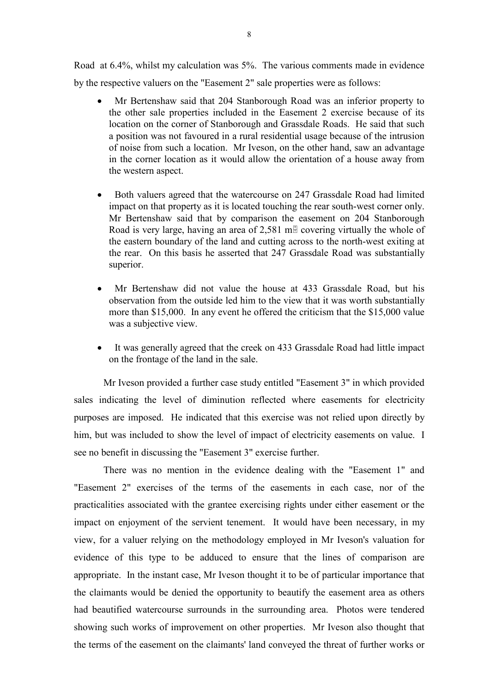Road at 6.4%, whilst my calculation was 5%. The various comments made in evidence by the respective valuers on the "Easement 2" sale properties were as follows:

- Mr Bertenshaw said that 204 Stanborough Road was an inferior property to the other sale properties included in the Easement 2 exercise because of its location on the corner of Stanborough and Grassdale Roads. He said that such a position was not favoured in a rural residential usage because of the intrusion of noise from such a location. Mr Iveson, on the other hand, saw an advantage in the corner location as it would allow the orientation of a house away from the western aspect.
- Both valuers agreed that the watercourse on 247 Grassdale Road had limited impact on that property as it is located touching the rear south-west corner only. Mr Bertenshaw said that by comparison the easement on 204 Stanborough Road is very large, having an area of 2,581 m $\frac{1}{2}$  covering virtually the whole of the eastern boundary of the land and cutting across to the north-west exiting at the rear. On this basis he asserted that 247 Grassdale Road was substantially superior.
- Mr Bertenshaw did not value the house at 433 Grassdale Road, but his observation from the outside led him to the view that it was worth substantially more than \$15,000. In any event he offered the criticism that the \$15,000 value was a subjective view.
- It was generally agreed that the creek on 433 Grassdale Road had little impact on the frontage of the land in the sale.

Mr Iveson provided a further case study entitled "Easement 3" in which provided sales indicating the level of diminution reflected where easements for electricity purposes are imposed. He indicated that this exercise was not relied upon directly by him, but was included to show the level of impact of electricity easements on value. I see no benefit in discussing the "Easement 3" exercise further.

There was no mention in the evidence dealing with the "Easement 1" and "Easement 2" exercises of the terms of the easements in each case, nor of the practicalities associated with the grantee exercising rights under either easement or the impact on enjoyment of the servient tenement. It would have been necessary, in my view, for a valuer relying on the methodology employed in Mr Iveson's valuation for evidence of this type to be adduced to ensure that the lines of comparison are appropriate. In the instant case, Mr Iveson thought it to be of particular importance that the claimants would be denied the opportunity to beautify the easement area as others had beautified watercourse surrounds in the surrounding area. Photos were tendered showing such works of improvement on other properties. Mr Iveson also thought that the terms of the easement on the claimants' land conveyed the threat of further works or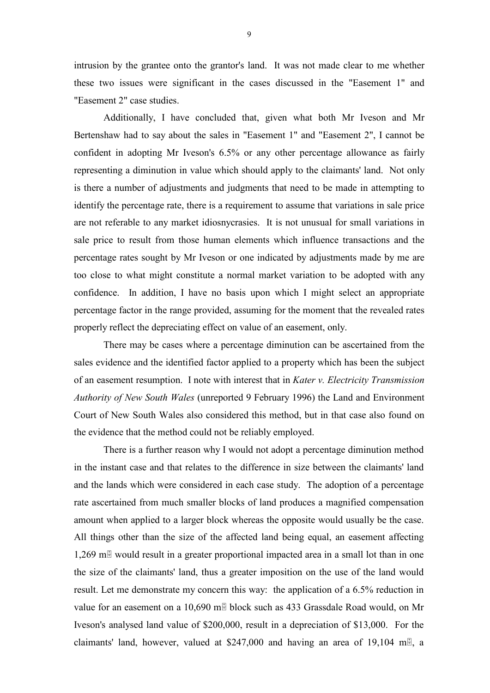intrusion by the grantee onto the grantor's land. It was not made clear to me whether these two issues were significant in the cases discussed in the "Easement 1" and "Easement 2" case studies.

Additionally, I have concluded that, given what both Mr Iveson and Mr Bertenshaw had to say about the sales in "Easement 1" and "Easement 2", I cannot be confident in adopting Mr Iveson's 6.5% or any other percentage allowance as fairly representing a diminution in value which should apply to the claimants' land. Not only is there a number of adjustments and judgments that need to be made in attempting to identify the percentage rate, there is a requirement to assume that variations in sale price are not referable to any market idiosnycrasies. It is not unusual for small variations in sale price to result from those human elements which influence transactions and the percentage rates sought by Mr Iveson or one indicated by adjustments made by me are too close to what might constitute a normal market variation to be adopted with any confidence. In addition, I have no basis upon which I might select an appropriate percentage factor in the range provided, assuming for the moment that the revealed rates properly reflect the depreciating effect on value of an easement, only.

There may be cases where a percentage diminution can be ascertained from the sales evidence and the identified factor applied to a property which has been the subject of an easement resumption. I note with interest that in *Kater v. Electricity Transmission Authority of New South Wales* (unreported 9 February 1996) the Land and Environment Court of New South Wales also considered this method, but in that case also found on the evidence that the method could not be reliably employed.

There is a further reason why I would not adopt a percentage diminution method in the instant case and that relates to the difference in size between the claimants' land and the lands which were considered in each case study. The adoption of a percentage rate ascertained from much smaller blocks of land produces a magnified compensation amount when applied to a larger block whereas the opposite would usually be the case. All things other than the size of the affected land being equal, an easement affecting 1,269 m. would result in a greater proportional impacted area in a small lot than in one the size of the claimants' land, thus a greater imposition on the use of the land would result. Let me demonstrate my concern this way: the application of a 6.5% reduction in value for an easement on a 10,690 m $\overline{B}$  block such as 433 Grassdale Road would, on Mr Iveson's analysed land value of \$200,000, result in a depreciation of \$13,000. For the claimants' land, however, valued at \$247,000 and having an area of 19,104 m.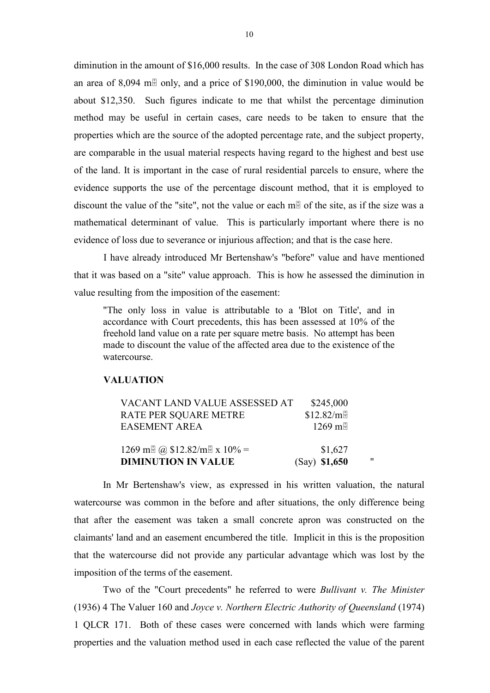diminution in the amount of \$16,000 results. In the case of 308 London Road which has an area of 8,094 m $\overline{a}$  only, and a price of \$190,000, the diminution in value would be about \$12,350. Such figures indicate to me that whilst the percentage diminution method may be useful in certain cases, care needs to be taken to ensure that the properties which are the source of the adopted percentage rate, and the subject property, are comparable in the usual material respects having regard to the highest and best use of the land. It is important in the case of rural residential parcels to ensure, where the evidence supports the use of the percentage discount method, that it is employed to discount the value of the "site", not the value or each m $\overline{B}$  of the site, as if the size was a mathematical determinant of value. This is particularly important where there is no evidence of loss due to severance or injurious affection; and that is the case here.

I have already introduced Mr Bertenshaw's "before" value and have mentioned that it was based on a "site" value approach. This is how he assessed the diminution in value resulting from the imposition of the easement:

"The only loss in value is attributable to a 'Blot on Title', and in accordance with Court precedents, this has been assessed at 10% of the freehold land value on a rate per square metre basis. No attempt has been made to discount the value of the affected area due to the existence of the watercourse.

# **VALUATION**

| VACANT LAND VALUE ASSESSED AT     | \$245,000     |    |
|-----------------------------------|---------------|----|
| <b>RATE PER SQUARE METRE</b>      | \$12.82/m     |    |
| <b>EASEMENT AREA</b>              | 1269 mH       |    |
|                                   |               |    |
| 1269 m $\alpha$ \$12.82/m x 10% = | \$1,627       |    |
| <b>DIMINUTION IN VALUE</b>        | (Say) \$1,650 | 11 |

In Mr Bertenshaw's view, as expressed in his written valuation, the natural watercourse was common in the before and after situations, the only difference being that after the easement was taken a small concrete apron was constructed on the claimants' land and an easement encumbered the title. Implicit in this is the proposition that the watercourse did not provide any particular advantage which was lost by the imposition of the terms of the easement.

Two of the "Court precedents" he referred to were *Bullivant v. The Minister* (1936) 4 The Valuer 160 and *Joyce v. Northern Electric Authority of Queensland* (1974) 1 QLCR 171. Both of these cases were concerned with lands which were farming properties and the valuation method used in each case reflected the value of the parent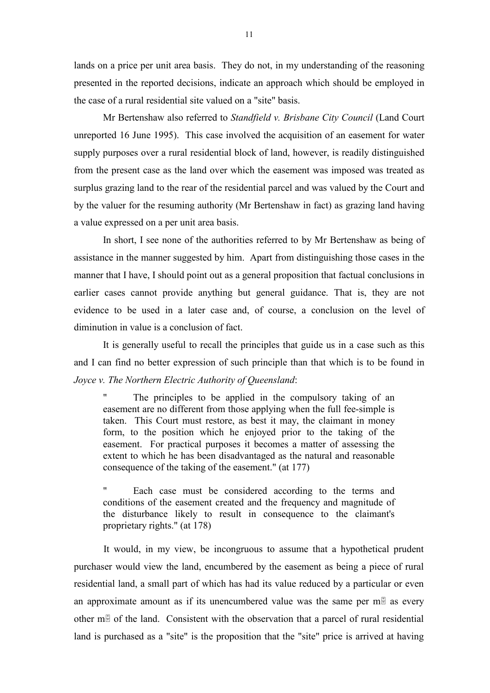lands on a price per unit area basis. They do not, in my understanding of the reasoning presented in the reported decisions, indicate an approach which should be employed in the case of a rural residential site valued on a "site" basis.

Mr Bertenshaw also referred to *Standfield v. Brisbane City Council* (Land Court unreported 16 June 1995). This case involved the acquisition of an easement for water supply purposes over a rural residential block of land, however, is readily distinguished from the present case as the land over which the easement was imposed was treated as surplus grazing land to the rear of the residential parcel and was valued by the Court and by the valuer for the resuming authority (Mr Bertenshaw in fact) as grazing land having a value expressed on a per unit area basis.

In short, I see none of the authorities referred to by Mr Bertenshaw as being of assistance in the manner suggested by him. Apart from distinguishing those cases in the manner that I have, I should point out as a general proposition that factual conclusions in earlier cases cannot provide anything but general guidance. That is, they are not evidence to be used in a later case and, of course, a conclusion on the level of diminution in value is a conclusion of fact.

It is generally useful to recall the principles that guide us in a case such as this and I can find no better expression of such principle than that which is to be found in *Joyce v. The Northern Electric Authority of Queensland*:

The principles to be applied in the compulsory taking of an easement are no different from those applying when the full fee-simple is taken. This Court must restore, as best it may, the claimant in money form, to the position which he enjoyed prior to the taking of the easement. For practical purposes it becomes a matter of assessing the extent to which he has been disadvantaged as the natural and reasonable consequence of the taking of the easement." (at 177)

" Each case must be considered according to the terms and conditions of the easement created and the frequency and magnitude of the disturbance likely to result in consequence to the claimant's proprietary rights." (at 178)

It would, in my view, be incongruous to assume that a hypothetical prudent purchaser would view the land, encumbered by the easement as being a piece of rural residential land, a small part of which has had its value reduced by a particular or even an approximate amount as if its unencumbered value was the same per  $m \overline{a}$  as every other  $m \equiv 0$  of the land. Consistent with the observation that a parcel of rural residential land is purchased as a "site" is the proposition that the "site" price is arrived at having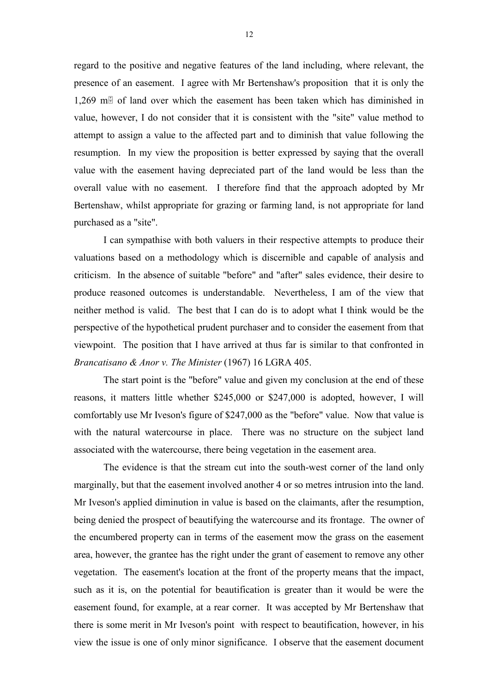regard to the positive and negative features of the land including, where relevant, the presence of an easement. I agree with Mr Bertenshaw's proposition that it is only the 1,269 m $\overline{a}$  of land over which the easement has been taken which has diminished in value, however, I do not consider that it is consistent with the "site" value method to attempt to assign a value to the affected part and to diminish that value following the resumption. In my view the proposition is better expressed by saying that the overall value with the easement having depreciated part of the land would be less than the overall value with no easement. I therefore find that the approach adopted by Mr Bertenshaw, whilst appropriate for grazing or farming land, is not appropriate for land purchased as a "site".

I can sympathise with both valuers in their respective attempts to produce their valuations based on a methodology which is discernible and capable of analysis and criticism. In the absence of suitable "before" and "after" sales evidence, their desire to produce reasoned outcomes is understandable. Nevertheless, I am of the view that neither method is valid. The best that I can do is to adopt what I think would be the perspective of the hypothetical prudent purchaser and to consider the easement from that viewpoint. The position that I have arrived at thus far is similar to that confronted in *Brancatisano & Anor v. The Minister* (1967) 16 LGRA 405.

The start point is the "before" value and given my conclusion at the end of these reasons, it matters little whether \$245,000 or \$247,000 is adopted, however, I will comfortably use Mr Iveson's figure of \$247,000 as the "before" value. Now that value is with the natural watercourse in place. There was no structure on the subject land associated with the watercourse, there being vegetation in the easement area.

The evidence is that the stream cut into the south-west corner of the land only marginally, but that the easement involved another 4 or so metres intrusion into the land. Mr Iveson's applied diminution in value is based on the claimants, after the resumption, being denied the prospect of beautifying the watercourse and its frontage. The owner of the encumbered property can in terms of the easement mow the grass on the easement area, however, the grantee has the right under the grant of easement to remove any other vegetation. The easement's location at the front of the property means that the impact, such as it is, on the potential for beautification is greater than it would be were the easement found, for example, at a rear corner. It was accepted by Mr Bertenshaw that there is some merit in Mr Iveson's point with respect to beautification, however, in his view the issue is one of only minor significance. I observe that the easement document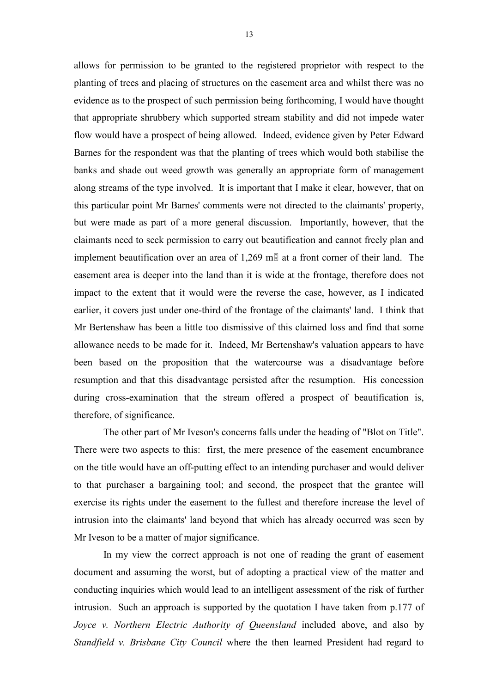allows for permission to be granted to the registered proprietor with respect to the planting of trees and placing of structures on the easement area and whilst there was no evidence as to the prospect of such permission being forthcoming, I would have thought that appropriate shrubbery which supported stream stability and did not impede water flow would have a prospect of being allowed. Indeed, evidence given by Peter Edward Barnes for the respondent was that the planting of trees which would both stabilise the banks and shade out weed growth was generally an appropriate form of management along streams of the type involved. It is important that I make it clear, however, that on this particular point Mr Barnes' comments were not directed to the claimants' property, but were made as part of a more general discussion. Importantly, however, that the claimants need to seek permission to carry out beautification and cannot freely plan and implement beautification over an area of  $1,269$  m $\overline{\mathbb{B}}$  at a front corner of their land. The easement area is deeper into the land than it is wide at the frontage, therefore does not impact to the extent that it would were the reverse the case, however, as I indicated earlier, it covers just under one-third of the frontage of the claimants' land. I think that Mr Bertenshaw has been a little too dismissive of this claimed loss and find that some allowance needs to be made for it. Indeed, Mr Bertenshaw's valuation appears to have been based on the proposition that the watercourse was a disadvantage before resumption and that this disadvantage persisted after the resumption. His concession during cross-examination that the stream offered a prospect of beautification is, therefore, of significance.

The other part of Mr Iveson's concerns falls under the heading of "Blot on Title". There were two aspects to this: first, the mere presence of the easement encumbrance on the title would have an off-putting effect to an intending purchaser and would deliver to that purchaser a bargaining tool; and second, the prospect that the grantee will exercise its rights under the easement to the fullest and therefore increase the level of intrusion into the claimants' land beyond that which has already occurred was seen by Mr Iveson to be a matter of major significance.

In my view the correct approach is not one of reading the grant of easement document and assuming the worst, but of adopting a practical view of the matter and conducting inquiries which would lead to an intelligent assessment of the risk of further intrusion. Such an approach is supported by the quotation I have taken from p.177 of *Joyce v. Northern Electric Authority of Queensland* included above, and also by *Standfield v. Brisbane City Council* where the then learned President had regard to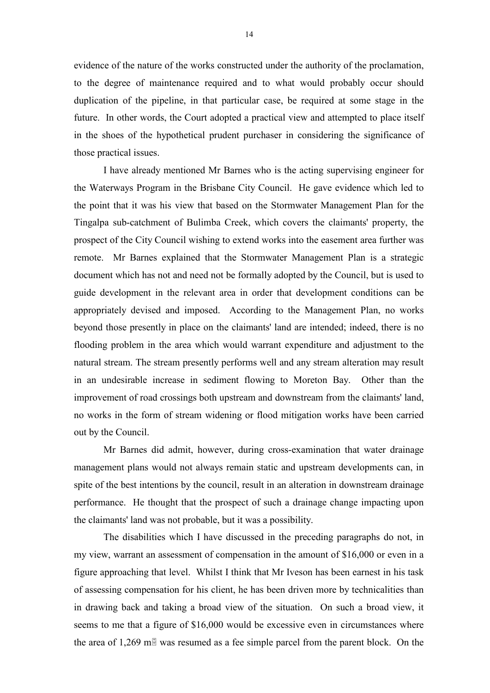evidence of the nature of the works constructed under the authority of the proclamation, to the degree of maintenance required and to what would probably occur should duplication of the pipeline, in that particular case, be required at some stage in the future. In other words, the Court adopted a practical view and attempted to place itself in the shoes of the hypothetical prudent purchaser in considering the significance of those practical issues.

I have already mentioned Mr Barnes who is the acting supervising engineer for the Waterways Program in the Brisbane City Council. He gave evidence which led to the point that it was his view that based on the Stormwater Management Plan for the Tingalpa sub-catchment of Bulimba Creek, which covers the claimants' property, the prospect of the City Council wishing to extend works into the easement area further was remote. Mr Barnes explained that the Stormwater Management Plan is a strategic document which has not and need not be formally adopted by the Council, but is used to guide development in the relevant area in order that development conditions can be appropriately devised and imposed. According to the Management Plan, no works beyond those presently in place on the claimants' land are intended; indeed, there is no flooding problem in the area which would warrant expenditure and adjustment to the natural stream. The stream presently performs well and any stream alteration may result in an undesirable increase in sediment flowing to Moreton Bay. Other than the improvement of road crossings both upstream and downstream from the claimants' land, no works in the form of stream widening or flood mitigation works have been carried out by the Council.

Mr Barnes did admit, however, during cross-examination that water drainage management plans would not always remain static and upstream developments can, in spite of the best intentions by the council, result in an alteration in downstream drainage performance. He thought that the prospect of such a drainage change impacting upon the claimants' land was not probable, but it was a possibility.

The disabilities which I have discussed in the preceding paragraphs do not, in my view, warrant an assessment of compensation in the amount of \$16,000 or even in a figure approaching that level. Whilst I think that Mr Iveson has been earnest in his task of assessing compensation for his client, he has been driven more by technicalities than in drawing back and taking a broad view of the situation. On such a broad view, it seems to me that a figure of \$16,000 would be excessive even in circumstances where the area of 1,269 m $\overline{B}$  was resumed as a fee simple parcel from the parent block. On the